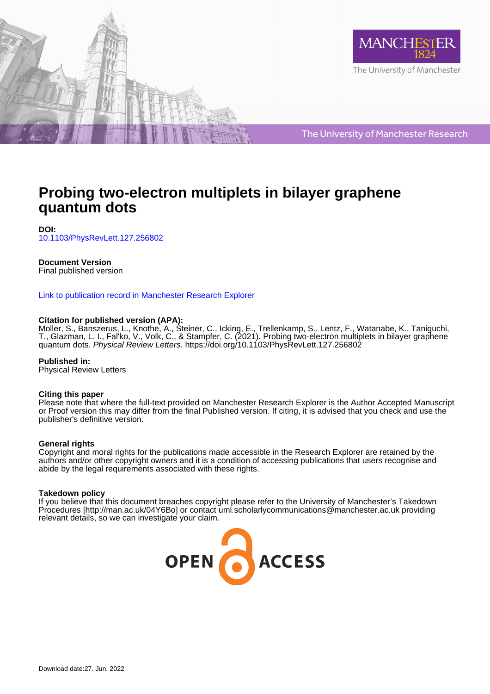



The University of Manchester Research

# **Probing two-electron multiplets in bilayer graphene quantum dots**

**DOI:** [10.1103/PhysRevLett.127.256802](https://doi.org/10.1103/PhysRevLett.127.256802)

### **Document Version**

Final published version

[Link to publication record in Manchester Research Explorer](https://www.research.manchester.ac.uk/portal/en/publications/probing-twoelectron-multiplets-in-bilayer-graphene-quantum-dots(b14ea56c-a5f4-41c0-847e-3ff2d91dd16a).html)

#### **Citation for published version (APA):**

Moller, S., Banszerus, L.[, Knothe, A.](/portal/angelika.knothe.html), Steiner, C., Icking, E., Trellenkamp, S., Lentz, F., Watanabe, K., Taniguchi, T., Glazman, L. I.[, Fal'ko, V.,](/portal/vladimir.falko.html) Volk, C., & Stampfer, C. (2021). [Probing two-electron multiplets in bilayer graphene](https://www.research.manchester.ac.uk/portal/en/publications/probing-twoelectron-multiplets-in-bilayer-graphene-quantum-dots(b14ea56c-a5f4-41c0-847e-3ff2d91dd16a).html) [quantum dots.](https://www.research.manchester.ac.uk/portal/en/publications/probing-twoelectron-multiplets-in-bilayer-graphene-quantum-dots(b14ea56c-a5f4-41c0-847e-3ff2d91dd16a).html) Physical Review Letters. <https://doi.org/10.1103/PhysRevLett.127.256802>

**Published in:** Physical Review Letters

#### **Citing this paper**

Please note that where the full-text provided on Manchester Research Explorer is the Author Accepted Manuscript or Proof version this may differ from the final Published version. If citing, it is advised that you check and use the publisher's definitive version.

#### **General rights**

Copyright and moral rights for the publications made accessible in the Research Explorer are retained by the authors and/or other copyright owners and it is a condition of accessing publications that users recognise and abide by the legal requirements associated with these rights.

#### **Takedown policy**

If you believe that this document breaches copyright please refer to the University of Manchester's Takedown Procedures [http://man.ac.uk/04Y6Bo] or contact uml.scholarlycommunications@manchester.ac.uk providing relevant details, so we can investigate your claim.

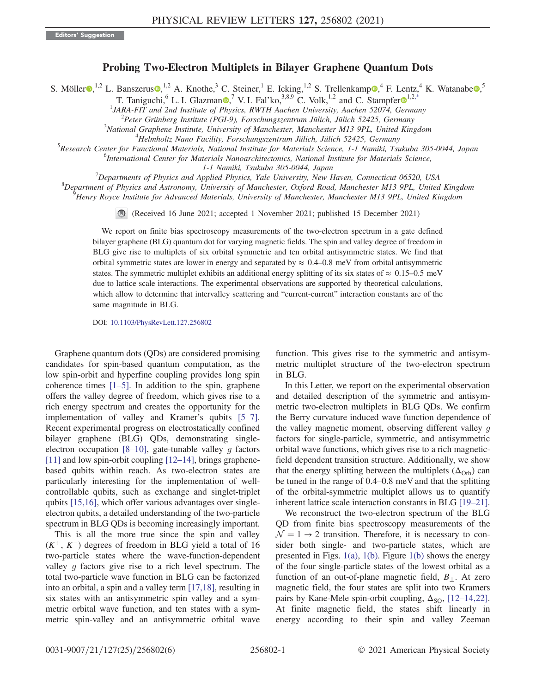## Probing Two-Electron Multiplets in Bilayer Graphene Quantum Dots

<span id="page-1-0"></span>S. Möller $\bigcirc^{1,2}$  L. Banszerus $\bigcirc^{1,2}$  A. Knothe,<sup>3</sup> C. Steiner,<sup>1</sup> E. Icking,<sup>1,2</sup> S. Trellenkamp $\bigcirc^4$  F. Lentz,<sup>4</sup> K. Watanabe $\bigcirc^5$ 

T. Taniguchi,  $6^6$  L. I. Glazman  $\odot$ , <sup>7</sup> V. I. Fal'ko,  $3,8,9$  C. Volk,  $1,2$  $1,2$  and C. Stampfer  $\odot$   $1,2,*$  $1,2,*$ 

<sup>1</sup>JARA-FIT and 2nd Institute of Physics, RWTH Aachen University, Aachen 52074, Germany<br><sup>2</sup> Pater Crijnberg Institute (PCI 9), Eorschungszeutrum Filiab Filiab 52425, Cermany

 $^{2}$ Peter Grünberg Institute (PGI-9), Forschungszentrum Jülich, Jülich 52425, Germany

 $3$ National Graphene Institute, University of Manchester, Manchester M13 9PL, United Kingdom

 $4$ Helmholtz Nano Facility, Forschungszentrum Jülich, Jülich 52425, Germany

<sup>5</sup>Research Center for Functional Materials, National Institute for Materials Science, 1-1 Namiki, Tsukuba 305-0044, Japan

<sup>6</sup>International Center for Materials Nanoarchitectonics, National Institute for Materials Science,

 $1$ -1 Namiki, Tsukuba 305-0044, Japan<br><sup>7</sup> Departments of Bhysics and Applied Bhysics, Nak University, Nay I

 $\alpha^{8}$ Departments of Physics and Applied Physics, Yale University, New Haven, Connecticut 06520, USA  $\beta$ 

 ${}^{8}$ Department of Physics and Astronomy, University of Manchester, Oxford Road, Manchester M13 9PL, United Kingdom

Henry Royce Institute for Advanced Materials, University of Manchester, Manchester M13 9PL, United Kingdom

(Received 16 June 2021; accepted 1 November 2021; published 15 December 2021)

We report on finite bias spectroscopy measurements of the two-electron spectrum in a gate defined bilayer graphene (BLG) quantum dot for varying magnetic fields. The spin and valley degree of freedom in BLG give rise to multiplets of six orbital symmetric and ten orbital antisymmetric states. We find that orbital symmetric states are lower in energy and separated by  $\approx 0.4$ –0.8 meV from orbital antisymmetric states. The symmetric multiplet exhibits an additional energy splitting of its six states of  $\approx 0.15-0.5$  meV due to lattice scale interactions. The experimental observations are supported by theoretical calculations, which allow to determine that intervalley scattering and "current-current" interaction constants are of the same magnitude in BLG.

DOI: [10.1103/PhysRevLett.127.256802](https://doi.org/10.1103/PhysRevLett.127.256802)

Graphene quantum dots (QDs) are considered promising candidates for spin-based quantum computation, as the low spin-orbit and hyperfine coupling provides long spin coherence times  $[1–5]$  $[1–5]$  $[1–5]$  $[1–5]$ . In addition to the spin, graphene offers the valley degree of freedom, which gives rise to a rich energy spectrum and creates the opportunity for the implementation of valley and Kramer's qubits [\[5](#page-5-2)–[7](#page-5-3)]. Recent experimental progress on electrostatically confined bilayer graphene (BLG) QDs, demonstrating singleelectron occupation  $[8-10]$  $[8-10]$  $[8-10]$  $[8-10]$ , gate-tunable valley g factors [\[11\]](#page-5-6) and low spin-orbit coupling [\[12](#page-5-7)–[14\]](#page-5-8), brings graphenebased qubits within reach. As two-electron states are particularly interesting for the implementation of wellcontrollable qubits, such as exchange and singlet-triplet qubits [[15](#page-5-9),[16](#page-5-10)], which offer various advantages over singleelectron qubits, a detailed understanding of the two-particle spectrum in BLG QDs is becoming increasingly important.

This is all the more true since the spin and valley  $(K^{+}, K^{-})$  degrees of freedom in BLG yield a total of 16 two-particle states where the wave-function-dependent valley q factors give rise to a rich level spectrum. The total two-particle wave function in BLG can be factorized into an orbital, a spin and a valley term [\[17](#page-5-11)[,18\]](#page-5-12), resulting in six states with an antisymmetric spin valley and a symmetric orbital wave function, and ten states with a symmetric spin-valley and an antisymmetric orbital wave function. This gives rise to the symmetric and antisymmetric multiplet structure of the two-electron spectrum in BLG.

In this Letter, we report on the experimental observation and detailed description of the symmetric and antisymmetric two-electron multiplets in BLG QDs. We confirm the Berry curvature induced wave function dependence of the valley magnetic moment, observing different valley g factors for single-particle, symmetric, and antisymmetric orbital wave functions, which gives rise to a rich magneticfield dependent transition structure. Additionally, we show that the energy splitting between the multiplets  $(\Delta_{Orb})$  can be tuned in the range of 0.4–0.8 meV and that the splitting of the orbital-symmetric multiplet allows us to quantify inherent lattice scale interaction constants in BLG [[19](#page-5-13)–[21](#page-5-14)].

We reconstruct the two-electron spectrum of the BLG QD from finite bias spectroscopy measurements of the  $\mathcal{N} = 1 \rightarrow 2$  transition. Therefore, it is necessary to consider both single- and two-particle states, which are presented in Figs.  $1(a)$ ,  $1(b)$ . Figure  $1(b)$  shows the energy of the four single-particle states of the lowest orbital as a function of an out-of-plane magnetic field,  $B_{\perp}$ . At zero magnetic field, the four states are split into two Kramers pairs by Kane-Mele spin-orbit coupling,  $\Delta_{\rm SO}$ , [[12](#page-5-7)–[14,](#page-5-8)[22](#page-5-15)]. At finite magnetic field, the states shift linearly in energy according to their spin and valley Zeeman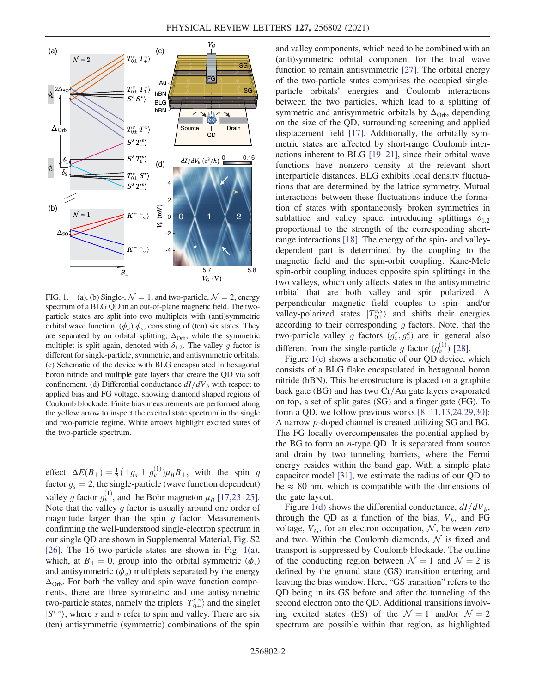<span id="page-2-0"></span>

FIG. 1. (a), (b) Single-,  $\mathcal{N} = 1$ , and two-particle,  $\mathcal{N} = 2$ , energy spectrum of a BLG QD in an out-of-plane magnetic field. The twoparticle states are split into two multiplets with (anti)symmetric orbital wave function,  $(\phi_a)$   $\phi_s$ , consisting of (ten) six states. They are separated by an orbital splitting,  $\Delta_{\text{Orb}}$ , while the symmetric multiplet is split again, denoted with  $\delta_{1,2}$ . The valley g factor is different for single-particle, symmetric, and antisymmetric orbitals. (c) Schematic of the device with BLG encapsulated in hexagonal boron nitride and multiple gate layers that create the QD via soft confinement. (d) Differential conductance  $dI/dV<sub>b</sub>$  with respect to applied bias and FG voltage, showing diamond shaped regions of Coulomb blockade. Finite bias measurements are performed along the yellow arrow to inspect the excited state spectrum in the single and two-particle regime. White arrows highlight excited states of the two-particle spectrum.

effect  $\Delta E(B_{\perp}) = \frac{1}{2} (\pm g_s \pm g_v^{(1)}) \mu_B B_{\perp}$ , with the spin g factor  $g_s = 2$ , the single-particle (wave function dependent) valley g factor  $g_v^{(1)}$ , and the Bohr magneton  $\mu_B$  [[17](#page-5-11),[23](#page-5-16)–[25](#page-5-17)]. Note that the valley  $q$  factor is usually around one order of magnitude larger than the spin  $q$  factor. Measurements confirming the well-understood single-electron spectrum in our single QD are shown in Supplemental Material, Fig. S2 [\[26\]](#page-6-0). The 16 two-particle states are shown in Fig. [1\(a\)](#page-2-0), which, at  $B_{\perp} = 0$ , group into the orbital symmetric  $(\phi_s)$ and antisymmetric  $(\phi_a)$  multiplets separated by the energy  $\Delta_{Orb}$ . For both the valley and spin wave function components, there are three symmetric and one antisymmetric two-particle states, namely the triplets  $|T_{0\pm}^{s,v}\rangle$  and the singlet  $|S^{s,v}\rangle$ , where s and v refer to spin and valley. There are six (ten) antisymmetric (symmetric) combinations of the spin and valley components, which need to be combined with an (anti)symmetric orbital component for the total wave function to remain antisymmetric [\[27\]](#page-6-1). The orbital energy of the two-particle states comprises the occupied singleparticle orbitals' energies and Coulomb interactions between the two particles, which lead to a splitting of symmetric and antisymmetric orbitals by  $\Delta_{Orb}$ , depending on the size of the QD, surrounding screening and applied displacement field [\[17\]](#page-5-11). Additionally, the orbitally symmetric states are affected by short-range Coulomb interactions inherent to BLG [[19](#page-5-13)–[21](#page-5-14)], since their orbital wave functions have nonzero density at the relevant short interparticle distances. BLG exhibits local density fluctuations that are determined by the lattice symmetry. Mutual interactions between these fluctuations induce the formation of states with spontaneously broken symmetries in sublattice and valley space, introducing splittings  $\delta_{12}$ proportional to the strength of the corresponding shortrange interactions [\[18\]](#page-5-12). The energy of the spin- and valleydependent part is determined by the coupling to the magnetic field and the spin-orbit coupling. Kane-Mele spin-orbit coupling induces opposite spin splittings in the two valleys, which only affects states in the antisymmetric orbital that are both valley and spin polarized. A perpendicular magnetic field couples to spin- and/or valley-polarized states  $|T_{0\pm}^{v,s}\rangle$  and shifts their energies according to their corresponding  $g$  factors. Note, that the two-particle valley g factors  $(g_v^s, g_v^a)$  are in general also different from the single-particle g factor  $(g_v^{(1)})$  [[28](#page-6-2)].

Figure [1\(c\)](#page-2-0) shows a schematic of our QD device, which consists of a BLG flake encapsulated in hexagonal boron nitride (hBN). This heterostructure is placed on a graphite back gate (BG) and has two  $Cr/Au$  gate layers evaporated on top, a set of split gates (SG) and a finger gate (FG). To form a QD, we follow previous works [\[8](#page-5-4)–[11](#page-5-6)[,13](#page-5-18)[,24,](#page-5-19)[29](#page-6-3)[,30\]](#page-6-4): A narrow p-doped channel is created utilizing SG and BG. The FG locally overcompensates the potential applied by the BG to form an  $n$ -type QD. It is separated from source and drain by two tunneling barriers, where the Fermi energy resides within the band gap. With a simple plate capacitor model [[31](#page-6-5)], we estimate the radius of our QD to be  $\approx 80$  nm, which is compatible with the dimensions of the gate layout.

Figure [1\(d\)](#page-2-0) shows the differential conductance,  $dI/dV<sub>b</sub>$ , through the QD as a function of the bias,  $V_b$ , and FG voltage,  $V_G$ , for an electron occupation, N, between zero and two. Within the Coulomb diamonds,  $N$  is fixed and transport is suppressed by Coulomb blockade. The outline of the conducting region between  $\mathcal{N} = 1$  and  $\mathcal{N} = 2$  is defined by the ground state (GS) transition entering and leaving the bias window. Here, "GS transition" refers to the QD being in its GS before and after the tunneling of the second electron onto the QD. Additional transitions involving excited states (ES) of the  $\mathcal{N} = 1$  and/or  $\mathcal{N} = 2$ spectrum are possible within that region, as highlighted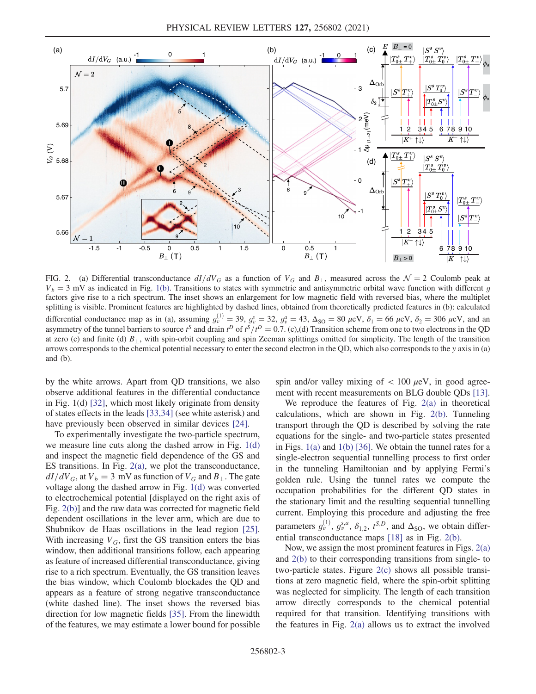<span id="page-3-0"></span>

FIG. 2. (a) Differential transconductance  $dI/dV_G$  as a function of  $V_G$  and  $B_{\perp}$ , measured across the  $\mathcal{N} = 2$  Coulomb peak at  $V_b = 3$  mV as indicated in Fig. [1\(b\).](#page-2-0) Transitions to states with symmetric and antisymmetric orbital wave function with different g factors give rise to a rich spectrum. The inset shows an enlargement for low magnetic field with reversed bias, where the multiplet splitting is visible. Prominent features are highlighted by dashed lines, obtained from theoretically predicted features in (b): calculated differential conductance map as in (a), assuming  $g_v^{(1)} = 39$ ,  $g_v^s = 32$ ,  $g_v^a = 43$ ,  $\Delta_{\text{SO}} = 80$   $\mu$ eV,  $\delta_1 = 66$   $\mu$ eV,  $\delta_2 = 306$   $\mu$ eV, and an asymmetry of the tunnel barriers to source  $t^S$  and drain  $t^D$  of  $t^S/t^D = 0.7$ . (c),(d) Transition scheme from one to two electrons in the QD at zero (c) and finite (d)  $B_{\perp}$ , with spin-orbit coupling and spin Zeeman splittings omitted for simplicity. The length of the transition arrows corresponds to the chemical potential necessary to enter the second electron in the QD, which also corresponds to the y axis in (a) and (b).

by the white arrows. Apart from QD transitions, we also observe additional features in the differential conductance in Fig. 1(d) [\[32\]](#page-6-6), which most likely originate from density of states effects in the leads [[33](#page-6-7),[34](#page-6-8)] (see white asterisk) and have previously been observed in similar devices [[24](#page-5-19)].

To experimentally investigate the two-particle spectrum, we measure line cuts along the dashed arrow in Fig. [1\(d\)](#page-2-0) and inspect the magnetic field dependence of the GS and ES transitions. In Fig. [2\(a\)](#page-3-0), we plot the transconductance,  $dI/dV_G$ , at  $V_b = 3$  mV as function of  $V_G$  and  $B_{\perp}$ . The gate voltage along the dashed arrow in Fig. [1\(d\)](#page-2-0) was converted to electrochemical potential [displayed on the right axis of Fig. [2\(b\)](#page-3-0)] and the raw data was corrected for magnetic field dependent oscillations in the lever arm, which are due to Shubnikov–de Haas oscillations in the lead region [[25](#page-5-17)]. With increasing  $V_G$ , first the GS transition enters the bias window, then additional transitions follow, each appearing as feature of increased differential transconductance, giving rise to a rich spectrum. Eventually, the GS transition leaves the bias window, which Coulomb blockades the QD and appears as a feature of strong negative transconductance (white dashed line). The inset shows the reversed bias direction for low magnetic fields [[35](#page-6-9)]. From the linewidth of the features, we may estimate a lower bound for possible spin and/or valley mixing of  $< 100 \mu$ eV, in good agreement with recent measurements on BLG double QDs [[13](#page-5-18)].

We reproduce the features of Fig. [2\(a\)](#page-3-0) in theoretical calculations, which are shown in Fig. [2\(b\)](#page-3-0). Tunneling transport through the QD is described by solving the rate equations for the single- and two-particle states presented in Figs. [1\(a\)](#page-2-0) and [1\(b\)](#page-2-0) [[36](#page-6-10)]. We obtain the tunnel rates for a single-electron sequential tunnelling process to first order in the tunneling Hamiltonian and by applying Fermi's golden rule. Using the tunnel rates we compute the occupation probabilities for the different QD states in the stationary limit and the resulting sequential tunnelling current. Employing this procedure and adjusting the free parameters  $g_v^{(1)}$ ,  $g_v^{s,a}$ ,  $\delta_{1,2}$ ,  $t^{S,D}$ , and  $\Delta_{\text{SO}}$ , we obtain differential transconductance maps [\[18\]](#page-5-12) as in Fig. [2\(b\)](#page-3-0).

Now, we assign the most prominent features in Figs. [2\(a\)](#page-3-0) and [2\(b\)](#page-3-0) to their corresponding transitions from single- to two-particle states. Figure [2\(c\)](#page-3-0) shows all possible transitions at zero magnetic field, where the spin-orbit splitting was neglected for simplicity. The length of each transition arrow directly corresponds to the chemical potential required for that transition. Identifying transitions with the features in Fig. [2\(a\)](#page-3-0) allows us to extract the involved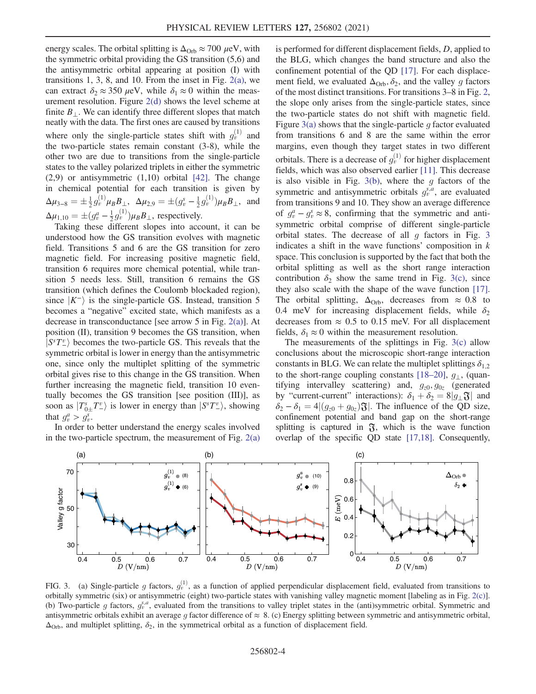energy scales. The orbital splitting is  $\Delta_{\text{Orb}} \approx 700 \ \mu\text{eV}$ , with the symmetric orbital providing the GS transition (5,6) and the antisymmetric orbital appearing at position (I) with transitions 1, 3, 8, and 10. From the inset in Fig.  $2(a)$ , we can extract  $\delta_2 \approx 350 \,\mu\text{eV}$ , while  $\delta_1 \approx 0$  within the measurement resolution. Figure [2\(d\)](#page-3-0) shows the level scheme at finite  $B_{\perp}$ . We can identify three different slopes that match neatly with the data. The first ones are caused by transitions where only the single-particle states shift with  $g_v^{(1)}$  and the two-particle states remain constant (3-8), while the other two are due to transitions from the single-particle states to the valley polarized triplets in either the symmetric  $(2,9)$  or antisymmetric  $(1,10)$  orbital  $[42]$  $[42]$  $[42]$ . The change in chemical potential for each transition is given by  $\Delta \mu_{3-8} = \pm \frac{1}{2} g_v^{(1)} \mu_B B_{\perp}, \ \ \Delta \mu_{2,9} = \pm (g_v^s - \frac{1}{2} g_v^{(1)}) \mu_B B_{\perp}, \ \text{ and}$  $\Delta \mu_{1,10} = \pm (g_v^a - \frac{1}{2} g_v^{(1)}) \mu_B B_\perp$ , respectively.

Taking these different slopes into account, it can be understood how the GS transition evolves with magnetic field. Transitions 5 and 6 are the GS transition for zero magnetic field. For increasing positive magnetic field, transition 6 requires more chemical potential, while transition 5 needs less. Still, transition 6 remains the GS transition (which defines the Coulomb blockaded region), since  $|K^{-}\rangle$  is the single-particle GS. Instead, transition 5 becomes a "negative" excited state, which manifests as a decrease in transconductance [see arrow 5 in Fig. [2\(a\)\]](#page-3-0). At position (II), transition 9 becomes the GS transition, when  $|S^s T^v_\cdot\rangle$  becomes the two-particle GS. This reveals that the symmetric orbital is lower in energy than the antisymmetric one, since only the multiplet splitting of the symmetric orbital gives rise to this change in the GS transition. When further increasing the magnetic field, transition 10 eventually becomes the GS transition [see position (III)], as soon as  $|T_{0\pm}^s T_{-\epsilon}^v\rangle$  is lower in energy than  $|S^s T_{-\epsilon}^v\rangle$ , showing that  $g_v^a > g_v^s$ .

In order to better understand the energy scales involved in the two-particle spectrum, the measurement of Fig.  $2(a)$  is performed for different displacement fields, D, applied to the BLG, which changes the band structure and also the confinement potential of the QD [[17](#page-5-11)]. For each displacement field, we evaluated  $\Delta_{\text{Orb}}$ ,  $\delta_2$ , and the valley g factors of the most distinct transitions. For transitions 3–8 in Fig. [2](#page-3-0), the slope only arises from the single-particle states, since the two-particle states do not shift with magnetic field. Figure [3\(a\)](#page-4-0) shows that the single-particle q factor evaluated from transitions 6 and 8 are the same within the error margins, even though they target states in two different orbitals. There is a decrease of  $g_{\nu}^{(1)}$  for higher displacement fields, which was also observed earlier [[11](#page-5-6)]. This decrease is also visible in Fig.  $3(b)$ , where the g factors of the symmetric and antisymmetric orbitals  $g_v^{s,a}$ , are evaluated from transitions 9 and 10. They show an average difference of  $g_v^a - g_v^s \approx 8$ , confirming that the symmetric and antisymmetric orbital comprise of different single-particle orbital states. The decrease of all  $g$  factors in Fig. [3](#page-4-0) indicates a shift in the wave functions' composition in  $k$ space. This conclusion is supported by the fact that both the orbital splitting as well as the short range interaction contribution  $\delta_2$  show the same trend in Fig. [3\(c\)](#page-4-0), since they also scale with the shape of the wave function [[17](#page-5-11)]. The orbital splitting,  $\Delta_{Orb}$ , decreases from  $\approx 0.8$  to 0.4 meV for increasing displacement fields, while  $\delta_2$ decreases from  $\approx 0.5$  to 0.15 meV. For all displacement fields,  $\delta_1 \approx 0$  within the measurement resolution.

The measurements of the splittings in Fig. [3\(c\)](#page-4-0) allow conclusions about the microscopic short-range interaction constants in BLG. We can relate the multiplet splittings  $\delta_{1,2}$ to the short-range coupling constants [[18](#page-5-12)–[20\]](#page-5-20),  $g_{\perp}$ , (quantifying intervalley scattering) and,  $g_{z0}, g_{0z}$  (generated by "current-current" interactions):  $\delta_1 + \delta_2 = 8|g_{\perp} \mathfrak{F}|$  and  $\delta_2 - \delta_1 = 4|(g_{z0} + g_{0z})\mathfrak{F}|$ . The influence of the QD size, confinement potential and band gap on the short-range splitting is captured in  $\mathfrak{F}$ , which is the wave function overlap of the specific QD state [[17](#page-5-11)[,18\]](#page-5-12). Consequently,

<span id="page-4-0"></span>

FIG. 3. (a) Single-particle g factors,  $g_v^{(1)}$ , as a function of applied perpendicular displacement field, evaluated from transitions to orbitally symmetric (six) or antisymmetric (eight) two-particle states with vanishing valley magnetic moment [labeling as in Fig. [2\(c\)\]](#page-3-0). (b) Two-particle g factors,  $g_v^{s,a}$ , evaluated from the transitions to valley triplet states in the (anti)symmetric orbital. Symmetric and antisymmetric orbitals exhibit an average g factor difference of  $\approx 8$ . (c) Energy splitting between symmetric and antisymmetric orbital,  $\Delta_{\text{Orb}}$ , and multiplet splitting,  $\delta_2$ , in the symmetrical orbital as a function of displacement field.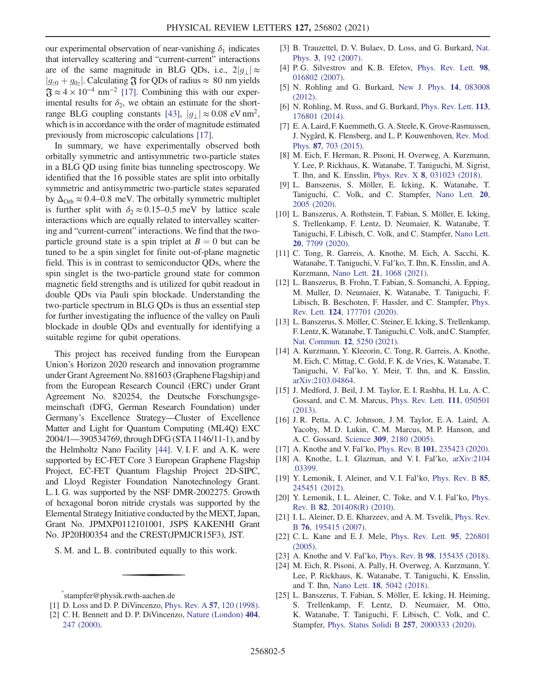our experimental observation of near-vanishing  $\delta_1$  indicates that intervalley scattering and "current-current" interactions are of the same magnitude in BLG QDs, i.e.,  $2|g_1| \approx$  $|g_{z0} + g_{0z}|$ . Calculating  $\mathfrak F$  for QDs of radius  $\approx 80$  nm yields  $\mathfrak{F} \approx 4 \times 10^{-4}$  nm<sup>-2</sup> [[17](#page-5-11)]. Combining this with our experimental results for  $\delta_2$ , we obtain an estimate for the short-range BLG coupling constants [[43](#page-6-12)],  $|g_1| \approx 0.08 \text{ eV nm}^2$ , which is in accordance with the order of magnitude estimated previously from microscopic calculations [[17](#page-5-11)].

In summary, we have experimentally observed both orbitally symmetric and antisymmetric two-particle states in a BLG QD using finite bias tunneling spectroscopy. We identified that the 16 possible states are split into orbitally symmetric and antisymmetric two-particle states separated by  $\Delta_{\text{Orb}} \approx 0.4{\text{-}}0.8$  meV. The orbitally symmetric multiplet is further split with  $\delta_2 \approx 0.15-0.5$  meV by lattice scale interactions which are equally related to intervalley scattering and "current-current" interactions. We find that the twoparticle ground state is a spin triplet at  $B = 0$  but can be tuned to be a spin singlet for finite out-of-plane magnetic field. This is in contrast to semiconductor QDs, where the spin singlet is the two-particle ground state for common magnetic field strengths and is utilized for qubit readout in double QDs via Pauli spin blockade. Understanding the two-particle spectrum in BLG QDs is thus an essential step for further investigating the influence of the valley on Pauli blockade in double QDs and eventually for identifying a suitable regime for qubit operations.

This project has received funding from the European Union's Horizon 2020 research and innovation programme under Grant Agreement No. 881603 (Graphene Flagship) and from the European Research Council (ERC) under Grant Agreement No. 820254, the Deutsche Forschungsgemeinschaft (DFG, German Research Foundation) under Germany's Excellence Strategy—Cluster of Excellence Matter and Light for Quantum Computing (ML4Q) EXC 2004/1—390534769, through DFG (STA 1146/11-1), and by the Helmholtz Nano Facility [\[44](#page-6-13)]. V. I. F. and A. K. were supported by EC-FET Core 3 European Graphene Flagship Project, EC-FET Quantum Flagship Project 2D-SIPC, and Lloyd Register Foundation Nanotechnology Grant. L. I. G. was supported by the NSF DMR-2002275. Growth of hexagonal boron nitride crystals was supported by the Elemental Strategy Initiative conducted by the MEXT, Japan, Grant No. JPMXP0112101001, JSPS KAKENHI Grant No. JP20H00354 and the CREST(JPMJCR15F3), JST.

S. M. and L. B. contributed equally to this work.

- [3] B. Trauzettel, D. V. Bulaev, D. Loss, and G. Burkard, [Nat.](https://doi.org/10.1038/nphys544) Phys. 3[, 192 \(2007\)](https://doi.org/10.1038/nphys544).
- [4] P. G. Silvestrov and K. B. Efetov, [Phys. Rev. Lett.](https://doi.org/10.1103/PhysRevLett.98.016802) 98, [016802 \(2007\).](https://doi.org/10.1103/PhysRevLett.98.016802)
- <span id="page-5-2"></span>[5] N. Rohling and G. Burkard, [New J. Phys.](https://doi.org/10.1088/1367-2630/14/8/083008) 14, 083008 [\(2012\).](https://doi.org/10.1088/1367-2630/14/8/083008)
- [6] N. Rohling, M. Russ, and G. Burkard, [Phys. Rev. Lett.](https://doi.org/10.1103/PhysRevLett.113.176801) 113, [176801 \(2014\).](https://doi.org/10.1103/PhysRevLett.113.176801)
- <span id="page-5-3"></span>[7] E. A. Laird, F. Kuemmeth, G. A. Steele, K. Grove-Rasmussen, J. Nygård, K. Flensberg, and L. P. Kouwenhoven, [Rev. Mod.](https://doi.org/10.1103/RevModPhys.87.703) Phys. 87[, 703 \(2015\).](https://doi.org/10.1103/RevModPhys.87.703)
- <span id="page-5-4"></span>[8] M. Eich, F. Herman, R. Pisoni, H. Overweg, A. Kurzmann, Y. Lee, P. Rickhaus, K. Watanabe, T. Taniguchi, M. Sigrist, T. Ihn, and K. Ensslin, Phys. Rev. X 8[, 031023 \(2018\).](https://doi.org/10.1103/PhysRevX.8.031023)
- [9] L. Banszerus, S. Möller, E. Icking, K. Watanabe, T. Taniguchi, C. Volk, and C. Stampfer, [Nano Lett.](https://doi.org/10.1021/acs.nanolett.9b05295) 20, [2005 \(2020\)](https://doi.org/10.1021/acs.nanolett.9b05295).
- <span id="page-5-5"></span>[10] L. Banszerus, A. Rothstein, T. Fabian, S. Möller, E. Icking, S. Trellenkamp, F. Lentz, D. Neumaier, K. Watanabe, T. Taniguchi, F. Libisch, C. Volk, and C. Stampfer, [Nano Lett.](https://doi.org/10.1021/acs.nanolett.0c03227) 20[, 7709 \(2020\)](https://doi.org/10.1021/acs.nanolett.0c03227).
- <span id="page-5-6"></span>[11] C. Tong, R. Garreis, A. Knothe, M. Eich, A. Sacchi, K. Watanabe, T. Taniguchi, V. Fal'ko, T. Ihn, K. Ensslin, and A. Kurzmann, Nano Lett. 21[, 1068 \(2021\).](https://doi.org/10.1021/acs.nanolett.0c04343)
- <span id="page-5-7"></span>[12] L. Banszerus, B. Frohn, T. Fabian, S. Somanchi, A. Epping, M. Muller, D. Neumaier, K. Watanabe, T. Taniguchi, F. Libisch, B. Beschoten, F. Hassler, and C. Stampfer, [Phys.](https://doi.org/10.1103/PhysRevLett.124.177701) Rev. Lett. 124[, 177701 \(2020\).](https://doi.org/10.1103/PhysRevLett.124.177701)
- <span id="page-5-18"></span>[13] L. Banszerus, S. Möller, C. Steiner, E. Icking, S. Trellenkamp, F. Lentz, K.Watanabe, T. Taniguchi, C. Volk, and C. Stampfer, [Nat. Commun.](https://doi.org/10.1038/s41467-021-25498-3) 12, 5250 (2021).
- <span id="page-5-8"></span>[14] A. Kurzmann, Y. Kleeorin, C. Tong, R. Garreis, A. Knothe, M. Eich, C. Mittag, C. Gold, F. K. de Vries, K. Watanabe, T. Taniguchi, V. Fal'ko, Y. Meir, T. Ihn, and K. Ensslin, [arXiv:2103.04864.](https://arXiv.org/abs/2103.04864)
- <span id="page-5-9"></span>[15] J. Medford, J. Beil, J. M. Taylor, E. I. Rashba, H. Lu, A. C. Gossard, and C. M. Marcus, [Phys. Rev. Lett.](https://doi.org/10.1103/PhysRevLett.111.050501) 111, 050501 [\(2013\).](https://doi.org/10.1103/PhysRevLett.111.050501)
- <span id="page-5-10"></span>[16] J. R. Petta, A. C. Johnson, J. M. Taylor, E. A. Laird, A. Yacoby, M. D. Lukin, C. M. Marcus, M. P. Hanson, and A. C. Gossard, Science <sup>309</sup>[, 2180 \(2005\).](https://doi.org/10.1126/science.1116955)
- <span id="page-5-12"></span><span id="page-5-11"></span>[17] A. Knothe and V. Fal'ko, *Phys. Rev. B* **101**[, 235423 \(2020\).](https://doi.org/10.1103/PhysRevB.101.235423)
- [18] A. Knothe, L. I. Glazman, and V. I. Fal'ko, [arXiv:2104](https://arXiv.org/abs/2104.03399) [.03399.](https://arXiv.org/abs/2104.03399)
- <span id="page-5-20"></span><span id="page-5-13"></span>[19] Y. Lemonik, I. Aleiner, and V. I. Fal'ko, [Phys. Rev. B](https://doi.org/10.1103/PhysRevB.85.245451) 85, [245451 \(2012\).](https://doi.org/10.1103/PhysRevB.85.245451)
- <span id="page-5-14"></span>[20] Y. Lemonik, I. L. Aleiner, C. Toke, and V. I. Fal'ko, [Phys.](https://doi.org/10.1103/PhysRevB.82.201408) Rev. B 82[, 201408\(R\) \(2010\)](https://doi.org/10.1103/PhysRevB.82.201408).
- <span id="page-5-15"></span>[21] I. L. Aleiner, D. E. Kharzeev, and A. M. Tsvelik, [Phys. Rev.](https://doi.org/10.1103/PhysRevB.76.195415) <sup>B</sup> 76[, 195415 \(2007\).](https://doi.org/10.1103/PhysRevB.76.195415)
- <span id="page-5-16"></span>[22] C. L. Kane and E. J. Mele, [Phys. Rev. Lett.](https://doi.org/10.1103/PhysRevLett.95.226801) 95, 226801 [\(2005\).](https://doi.org/10.1103/PhysRevLett.95.226801)
- <span id="page-5-19"></span>[23] A. Knothe and V. Fal'ko, Phys. Rev. B 98[, 155435 \(2018\).](https://doi.org/10.1103/PhysRevB.98.155435)
- [24] M. Eich, R. Pisoni, A. Pally, H. Overweg, A. Kurzmann, Y. Lee, P. Rickhaus, K. Watanabe, T. Taniguchi, K. Ensslin, and T. Ihn, Nano Lett. 18[, 5042 \(2018\)](https://doi.org/10.1021/acs.nanolett.8b01859).
- <span id="page-5-17"></span>[25] L. Banszerus, T. Fabian, S. Möller, E. Icking, H. Heiming, S. Trellenkamp, F. Lentz, D. Neumaier, M. Otto, K. Watanabe, T. Taniguchi, F. Libisch, C. Volk, and C. Stampfer, [Phys. Status Solidi B](https://doi.org/10.1002/pssb.202000333) 257, 2000333 (2020).

<span id="page-5-1"></span><span id="page-5-0"></span>[<sup>\\*</sup>](#page-1-0) stampfer@physik.rwth-aachen.de

<sup>[1]</sup> D. Loss and D. P. DiVincenzo, *[Phys. Rev. A](https://doi.org/10.1103/PhysRevA.57.120)* 57, 120 (1998).

<sup>[2]</sup> C. H. Bennett and D. P. DiVincenzo, [Nature \(London\)](https://doi.org/10.1038/35005001) 404, [247 \(2000\)](https://doi.org/10.1038/35005001).